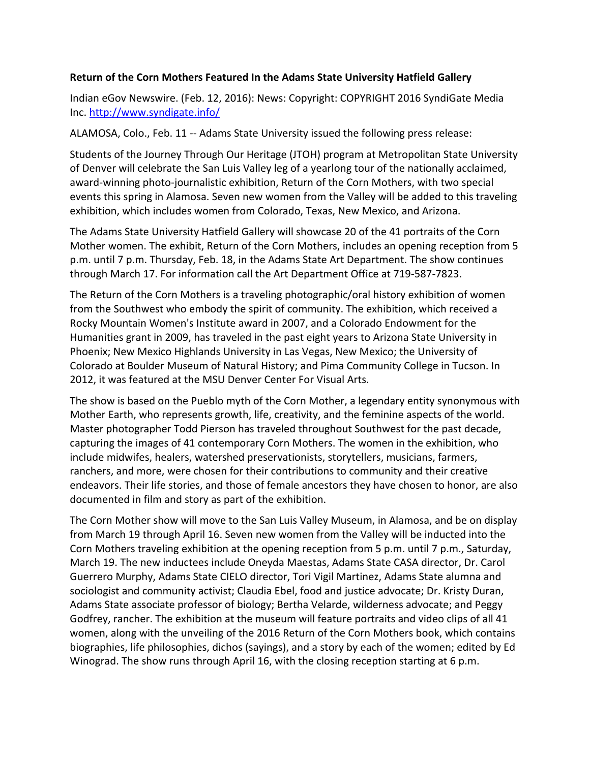## **Return of the Corn Mothers Featured In the Adams State University Hatfield Gallery**

Indian eGov Newswire. (Feb. 12, 2016): News: Copyright: COPYRIGHT 2016 SyndiGate Media Inc. http://www.syndigate.info/

ALAMOSA, Colo., Feb. 11 -- Adams State University issued the following press release:

Students of the Journey Through Our Heritage (JTOH) program at Metropolitan State University of Denver will celebrate the San Luis Valley leg of a yearlong tour of the nationally acclaimed, award-winning photo-journalistic exhibition, Return of the Corn Mothers, with two special events this spring in Alamosa. Seven new women from the Valley will be added to this traveling exhibition, which includes women from Colorado, Texas, New Mexico, and Arizona.

The Adams State University Hatfield Gallery will showcase 20 of the 41 portraits of the Corn Mother women. The exhibit, Return of the Corn Mothers, includes an opening reception from 5 p.m. until 7 p.m. Thursday, Feb. 18, in the Adams State Art Department. The show continues through March 17. For information call the Art Department Office at 719-587-7823.

The Return of the Corn Mothers is a traveling photographic/oral history exhibition of women from the Southwest who embody the spirit of community. The exhibition, which received a Rocky Mountain Women's Institute award in 2007, and a Colorado Endowment for the Humanities grant in 2009, has traveled in the past eight years to Arizona State University in Phoenix; New Mexico Highlands University in Las Vegas, New Mexico; the University of Colorado at Boulder Museum of Natural History; and Pima Community College in Tucson. In 2012, it was featured at the MSU Denver Center For Visual Arts.

The show is based on the Pueblo myth of the Corn Mother, a legendary entity synonymous with Mother Earth, who represents growth, life, creativity, and the feminine aspects of the world. Master photographer Todd Pierson has traveled throughout Southwest for the past decade, capturing the images of 41 contemporary Corn Mothers. The women in the exhibition, who include midwifes, healers, watershed preservationists, storytellers, musicians, farmers, ranchers, and more, were chosen for their contributions to community and their creative endeavors. Their life stories, and those of female ancestors they have chosen to honor, are also documented in film and story as part of the exhibition.

The Corn Mother show will move to the San Luis Valley Museum, in Alamosa, and be on display from March 19 through April 16. Seven new women from the Valley will be inducted into the Corn Mothers traveling exhibition at the opening reception from 5 p.m. until 7 p.m., Saturday, March 19. The new inductees include Oneyda Maestas, Adams State CASA director, Dr. Carol Guerrero Murphy, Adams State CIELO director, Tori Vigil Martinez, Adams State alumna and sociologist and community activist; Claudia Ebel, food and justice advocate; Dr. Kristy Duran, Adams State associate professor of biology; Bertha Velarde, wilderness advocate; and Peggy Godfrey, rancher. The exhibition at the museum will feature portraits and video clips of all 41 women, along with the unveiling of the 2016 Return of the Corn Mothers book, which contains biographies, life philosophies, dichos (sayings), and a story by each of the women; edited by Ed Winograd. The show runs through April 16, with the closing reception starting at 6 p.m.